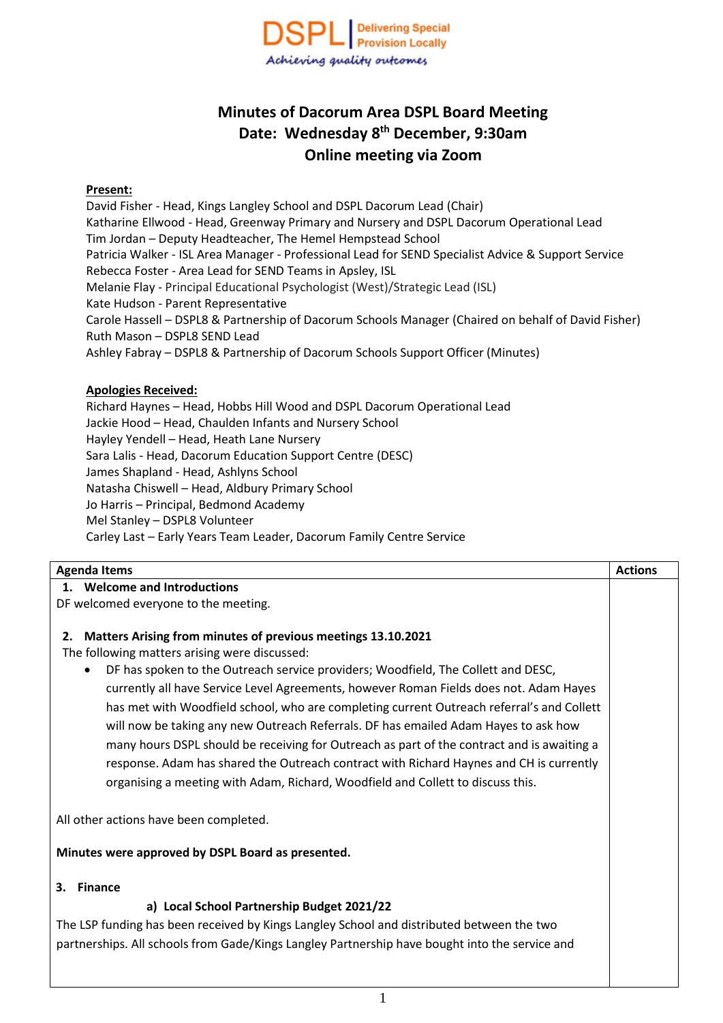

# **Minutes of Dacorum Area DSPL Board Meeting Date: Wednesday 8 th December, 9:30am Online meeting via Zoom**

#### **Present:**

David Fisher - Head, Kings Langley School and DSPL Dacorum Lead (Chair) Katharine Ellwood - Head, Greenway Primary and Nursery and DSPL Dacorum Operational Lead Tim Jordan – Deputy Headteacher, The Hemel Hempstead School Patricia Walker - ISL Area Manager - Professional Lead for SEND Specialist Advice & Support Service Rebecca Foster - Area Lead for SEND Teams in Apsley, ISL Melanie Flay - Principal Educational Psychologist (West)/Strategic Lead (ISL) Kate Hudson - Parent Representative Carole Hassell – DSPL8 & Partnership of Dacorum Schools Manager (Chaired on behalf of David Fisher) Ruth Mason – DSPL8 SEND Lead Ashley Fabray – DSPL8 & Partnership of Dacorum Schools Support Officer (Minutes)

#### **Apologies Received:**

Richard Haynes – Head, Hobbs Hill Wood and DSPL Dacorum Operational Lead Jackie Hood – Head, Chaulden Infants and Nursery School Hayley Yendell – Head, Heath Lane Nursery Sara Lalis - Head, Dacorum Education Support Centre (DESC) James Shapland - Head, Ashlyns School Natasha Chiswell – Head, Aldbury Primary School Jo Harris – Principal, Bedmond Academy Mel Stanley – DSPL8 Volunteer Carley Last – Early Years Team Leader, Dacorum Family Centre Service

| <b>Agenda Items</b>                                                                            | <b>Actions</b> |  |  |  |
|------------------------------------------------------------------------------------------------|----------------|--|--|--|
| 1. Welcome and Introductions                                                                   |                |  |  |  |
| DF welcomed everyone to the meeting.                                                           |                |  |  |  |
|                                                                                                |                |  |  |  |
| Matters Arising from minutes of previous meetings 13.10.2021<br>2.                             |                |  |  |  |
| The following matters arising were discussed:                                                  |                |  |  |  |
| DF has spoken to the Outreach service providers; Woodfield, The Collett and DESC,<br>$\bullet$ |                |  |  |  |
| currently all have Service Level Agreements, however Roman Fields does not. Adam Hayes         |                |  |  |  |
| has met with Woodfield school, who are completing current Outreach referral's and Collett      |                |  |  |  |
| will now be taking any new Outreach Referrals. DF has emailed Adam Hayes to ask how            |                |  |  |  |
| many hours DSPL should be receiving for Outreach as part of the contract and is awaiting a     |                |  |  |  |
| response. Adam has shared the Outreach contract with Richard Haynes and CH is currently        |                |  |  |  |
| organising a meeting with Adam, Richard, Woodfield and Collett to discuss this.                |                |  |  |  |
|                                                                                                |                |  |  |  |
| All other actions have been completed.                                                         |                |  |  |  |
|                                                                                                |                |  |  |  |
| Minutes were approved by DSPL Board as presented.                                              |                |  |  |  |
|                                                                                                |                |  |  |  |
| <b>Finance</b><br>3.                                                                           |                |  |  |  |
| a) Local School Partnership Budget 2021/22                                                     |                |  |  |  |
| The LSP funding has been received by Kings Langley School and distributed between the two      |                |  |  |  |
| partnerships. All schools from Gade/Kings Langley Partnership have bought into the service and |                |  |  |  |
|                                                                                                |                |  |  |  |
|                                                                                                |                |  |  |  |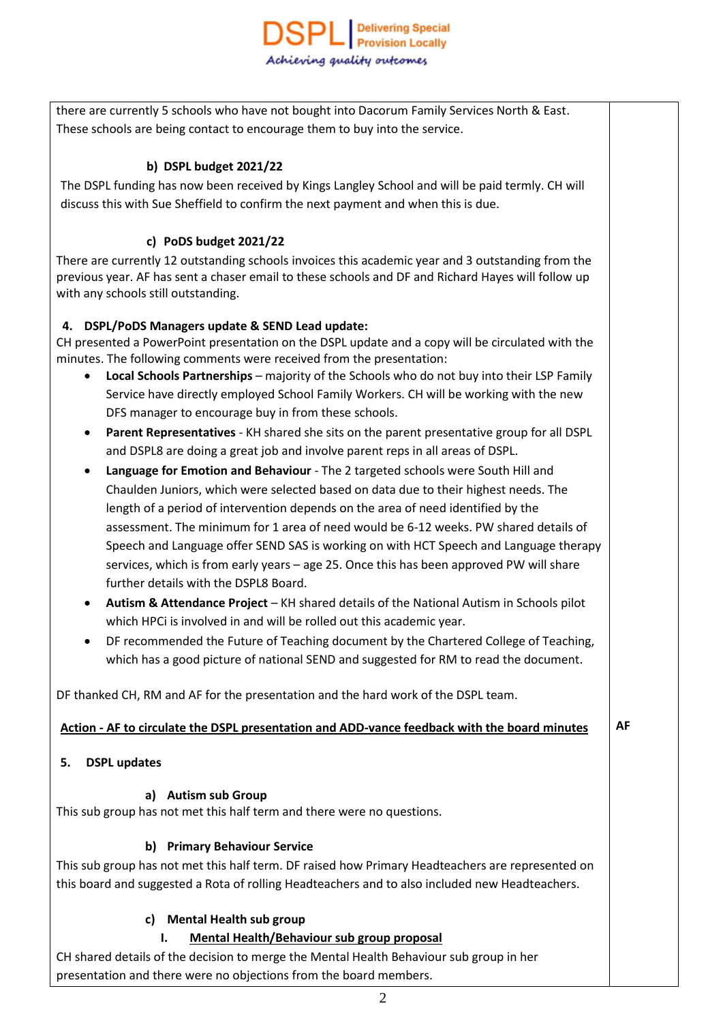there are currently 5 schools who have not bought into Dacorum Family Services North & East. These schools are being contact to encourage them to buy into the service.

# **b) DSPL budget 2021/22**

The DSPL funding has now been received by Kings Langley School and will be paid termly. CH will discuss this with Sue Sheffield to confirm the next payment and when this is due.

# **c) PoDS budget 2021/22**

There are currently 12 outstanding schools invoices this academic year and 3 outstanding from the previous year. AF has sent a chaser email to these schools and DF and Richard Hayes will follow up with any schools still outstanding.

## **4. DSPL/PoDS Managers update & SEND Lead update:**

CH presented a PowerPoint presentation on the DSPL update and a copy will be circulated with the minutes. The following comments were received from the presentation:

- **Local Schools Partnerships** majority of the Schools who do not buy into their LSP Family Service have directly employed School Family Workers. CH will be working with the new DFS manager to encourage buy in from these schools.
- **Parent Representatives** KH shared she sits on the parent presentative group for all DSPL and DSPL8 are doing a great job and involve parent reps in all areas of DSPL.
- **Language for Emotion and Behaviour** The 2 targeted schools were South Hill and Chaulden Juniors, which were selected based on data due to their highest needs. The length of a period of intervention depends on the area of need identified by the assessment. The minimum for 1 area of need would be 6-12 weeks. PW shared details of Speech and Language offer SEND SAS is working on with HCT Speech and Language therapy services, which is from early years – age 25. Once this has been approved PW will share further details with the DSPL8 Board.
- **Autism & Attendance Project** KH shared details of the National Autism in Schools pilot which HPCi is involved in and will be rolled out this academic year.
- DF recommended the Future of Teaching document by the Chartered College of Teaching, which has a good picture of national SEND and suggested for RM to read the document.

DF thanked CH, RM and AF for the presentation and the hard work of the DSPL team.

## **Action - AF to circulate the DSPL presentation and ADD-vance feedback with the board minutes**

**AF**

**5. DSPL updates**

## **a) Autism sub Group**

This sub group has not met this half term and there were no questions.

## **b) Primary Behaviour Service**

This sub group has not met this half term. DF raised how Primary Headteachers are represented on this board and suggested a Rota of rolling Headteachers and to also included new Headteachers.

## **c) Mental Health sub group**

## **I. Mental Health/Behaviour sub group proposal**

CH shared details of the decision to merge the Mental Health Behaviour sub group in her presentation and there were no objections from the board members.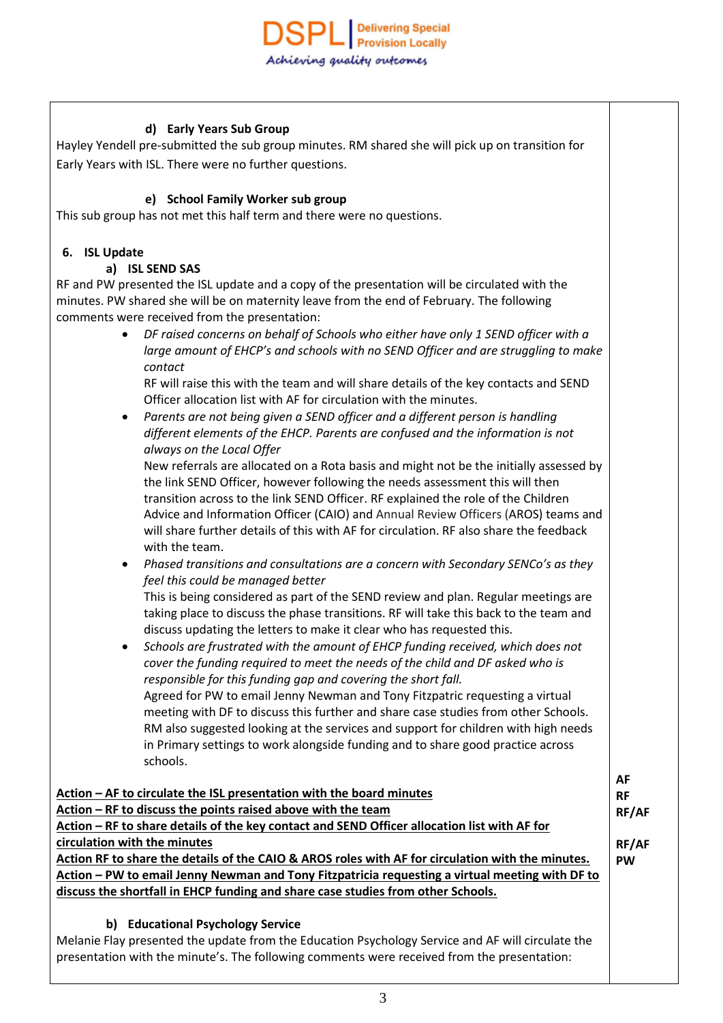## **d) Early Years Sub Group**

Hayley Yendell pre-submitted the sub group minutes. RM shared she will pick up on transition for Early Years with ISL. There were no further questions.

#### **e) School Family Worker sub group**

This sub group has not met this half term and there were no questions.

#### **6. ISL Update**

#### **a) ISL SEND SAS**

RF and PW presented the ISL update and a copy of the presentation will be circulated with the minutes. PW shared she will be on maternity leave from the end of February. The following comments were received from the presentation:

> *DF raised concerns on behalf of Schools who either have only 1 SEND officer with a large amount of EHCP's and schools with no SEND Officer and are struggling to make contact*

RF will raise this with the team and will share details of the key contacts and SEND Officer allocation list with AF for circulation with the minutes.

 *Parents are not being given a SEND officer and a different person is handling different elements of the EHCP. Parents are confused and the information is not always on the Local Offer*

New referrals are allocated on a Rota basis and might not be the initially assessed by the link SEND Officer, however following the needs assessment this will then transition across to the link SEND Officer. RF explained the role of the Children Advice and Information Officer (CAIO) and Annual Review Officers (AROS) teams and will share further details of this with AF for circulation. RF also share the feedback with the team.

 *Phased transitions and consultations are a concern with Secondary SENCo's as they feel this could be managed better*

This is being considered as part of the SEND review and plan. Regular meetings are taking place to discuss the phase transitions. RF will take this back to the team and discuss updating the letters to make it clear who has requested this*.*

 *Schools are frustrated with the amount of EHCP funding received, which does not cover the funding required to meet the needs of the child and DF asked who is responsible for this funding gap and covering the short fall.* Agreed for PW to email Jenny Newman and Tony Fitzpatric requesting a virtual meeting with DF to discuss this further and share case studies from other Schools. RM also suggested looking at the services and support for children with high needs in Primary settings to work alongside funding and to share good practice across schools.

|                                                                                                   | AF    |  |  |  |
|---------------------------------------------------------------------------------------------------|-------|--|--|--|
| Action – AF to circulate the ISL presentation with the board minutes                              |       |  |  |  |
| Action – RF to discuss the points raised above with the team                                      |       |  |  |  |
| Action - RF to share details of the key contact and SEND Officer allocation list with AF for      |       |  |  |  |
| circulation with the minutes                                                                      | RF/AF |  |  |  |
| Action RF to share the details of the CAIO & AROS roles with AF for circulation with the minutes. |       |  |  |  |
| Action – PW to email Jenny Newman and Tony Fitzpatricia requesting a virtual meeting with DF to   |       |  |  |  |
| discuss the shortfall in EHCP funding and share case studies from other Schools.                  |       |  |  |  |
|                                                                                                   |       |  |  |  |
| <b>Educational Psychology Service</b><br>b)                                                       |       |  |  |  |

Melanie Flay presented the update from the Education Psychology Service and AF will circulate the presentation with the minute's. The following comments were received from the presentation: